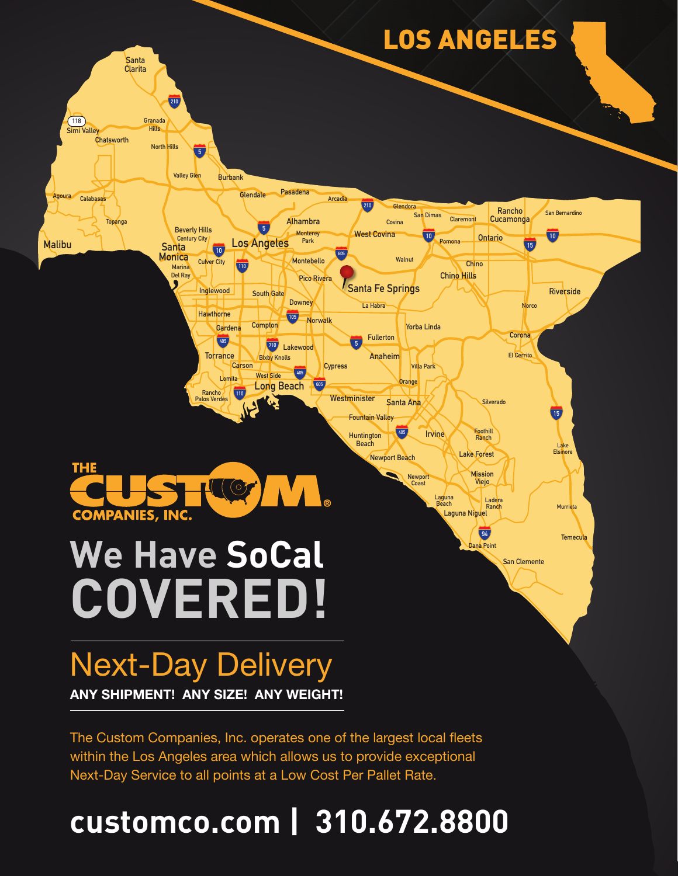

The Custom Companies, Inc. operates one of the largest local fleets within the Los Angeles area which allows us to provide exceptional Next-Day Service to all points at a Low Cost Per Pallet Rate.

## **customco.com | 310.672.8800**